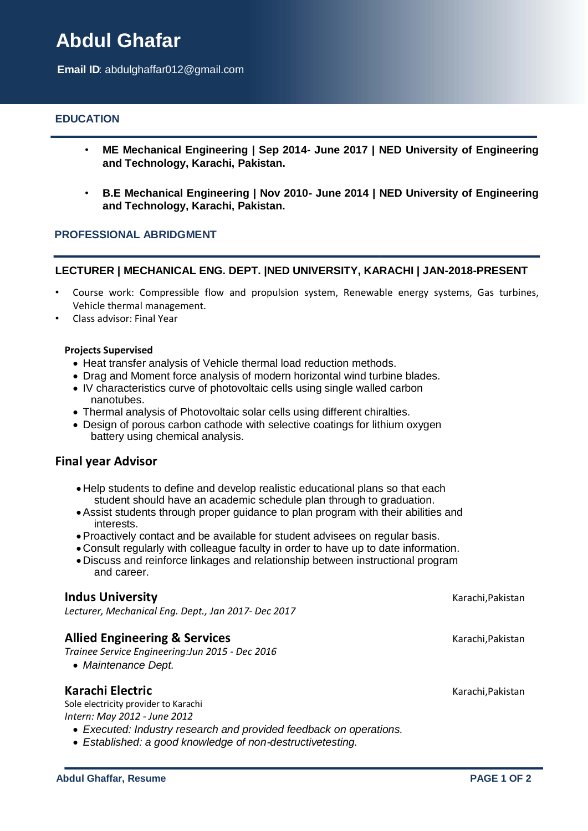# **Abdul Ghafar**

**Email ID**: abdulghaffar012@gmail.com

# **EDUCATION**

- **ME Mechanical Engineering | Sep 2014- June 2017 | NED University of Engineering and Technology, Karachi, Pakistan.**
- **B.E Mechanical Engineering | Nov 2010- June 2014 | NED University of Engineering and Technology, Karachi, Pakistan.**

#### **PROFESSIONAL ABRIDGMENT**

#### **LECTURER | MECHANICAL ENG. DEPT. |NED UNIVERSITY, KARACHI | JAN-2018-PRESENT**

- Course work: Compressible flow and propulsion system, Renewable energy systems, Gas turbines, Vehicle thermal management.
- Class advisor: Final Year

#### **Projects Supervised**

- Heat transfer analysis of Vehicle thermal load reduction methods.
- Drag and Moment force analysis of modern horizontal wind turbine blades.
- IV characteristics curve of photovoltaic cells using single walled carbon nanotubes.
- Thermal analysis of Photovoltaic solar cells using different chiralties.
- Design of porous carbon cathode with selective coatings for lithium oxygen battery using chemical analysis.

#### **Final year Advisor**

- Help students to define and develop realistic educational plans so that each student should have an academic schedule plan through to graduation.
- Assist students through proper guidance to plan program with their abilities and interests.
- Proactively contact and be available for student advisees on regular basis.
- Consult regularly with colleague faculty in order to have up to date information.
- Discuss and reinforce linkages and relationship between instructional program and career.

#### **Indus University Karachi,Pakistan Karachi,Pakistan Karachi,Pakistan Karachi,Pakistan Karachi,Pakistan Karachi,Pakistan Karachi,Pakistan Karachi,Pakistan Karachi,Pakistan Karachi,Pakistan Karachi,Pakistan Karachi,Pakista**

*Lecturer, Mechanical Eng. Dept., Jan 2017- Dec 2017*

#### **Allied Engineering & Services** Karachi, Pakistan

*Trainee Service Engineering:Jun 2015 - Dec 2016*

*Maintenance Dept.* 

#### **Karachi Electric** Karachi,Pakistan

Sole electricity provider to Karachi *Intern: May 2012 - June 2012*

- *Executed: Industry research and provided feedback on operations.*
- *Established: a good knowledge of non-destructivetesting.*